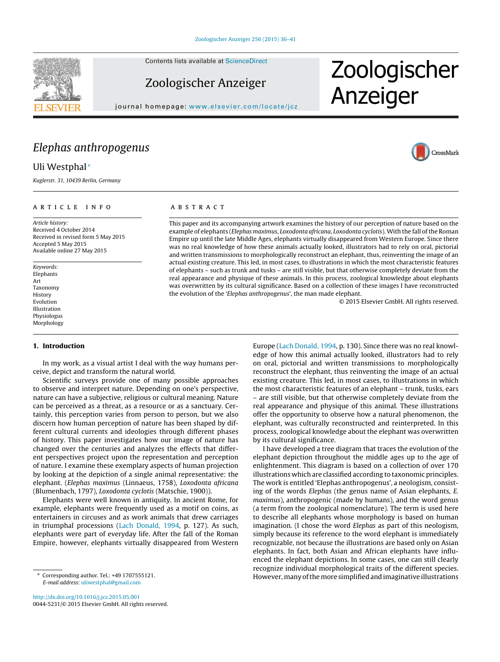

Contents lists available at ScienceDirect

Zoologischer Anzeiger

# Zoologischer Anzeiger

CrossMark

journal homepage: www.elsevier.com/locate/jcz

# Elephas anthropogenus

# Uli Westphal <sup>∗</sup>

Kuglerstr. 31, 10439 Berlin, Germany

#### article info

Article history: Received 4 October 2014 Received in revised form 5 May 2015 Accepted 5 May 2015 Available online 27 May 2015

Keywords: Elephants Art Taxonomy **History** Evolution Illustration Physiologus Morphology

# 1. Introduction

In my work, as a visual artist I deal with the way humans perceive, depict and transform the natural world.

Scientific surveys provide one of many possible approaches to observe and interpret nature. Depending on one's perspective, nature can have a subjective, religious or cultural meaning. Nature can be perceived as a threat, as a resource or as a sanctuary. Certainly, this perception varies from person to person, but we also discern how human perception of nature has been shaped by different cultural currents and ideologies through different phases of history. This paper investigates how our image of nature has changed over the centuries and analyzes the effects that different perspectives project upon the representation and perception of nature. I examine these exemplary aspects of human projection by looking at the depiction of a single animal representative: the elephant. (Elephas maximus (Linnaeus, 1758), Loxodonta africana (Blumenbach, 1797), Loxodonta cyclotis (Matschie, 1900)).

Elephants were well known in antiquity. In ancient Rome, for example, elephants were frequently used as a motif on coins, as entertainers in circuses and as work animals that drew carriages in triumphal processions (Lach Donald, 1994, p. 127). As such, elephants were part of everyday life. After the fall of the Roman Empire, however, elephants virtually disappeared from Western

# ABSTRACT

This paper and its accompanying artwork examines the history of our perception of nature based on the example of elephants (Elephas maximus, Loxodonta africana, Loxodonta cyclotis). With the fall of the Roman Empire up until the late Middle Ages, elephants virtually disappeared from Western Europe. Since there was no real knowledge of how these animals actually looked, illustrators had to rely on oral, pictorial and written transmissions to morphologically reconstruct an elephant, thus, reinventing the image of an actual existing creature. This led, in most cases, to illustrations in which the most characteristic features of elephants – such as trunk and tusks – are still visible, but that otherwise completely deviate from the real appearance and physique of these animals. In this process, zoological knowledge about elephants was overwritten by its cultural significance. Based on a collection of these images I have reconstructed the evolution of the 'Elephas anthropogenus', the man made elephant.

© 2015 Elsevier GmbH. All rights reserved.

Europe (Lach Donald, 1994, p. 130). Since there was no real knowledge of how this animal actually looked, illustrators had to rely on oral, pictorial and written transmissions to morphologically reconstruct the elephant, thus reinventing the image of an actual existing creature. This led, in most cases, to illustrations in which the most characteristic features of an elephant – trunk, tusks, ears – are still visible, but that otherwise completely deviate from the real appearance and physique of this animal. These illustrations offer the opportunity to observe how a natural phenomenon, the elephant, was culturally reconstructed and reinterpreted. In this process, zoological knowledge about the elephant was overwritten by its cultural significance.

I have developed a tree diagram that traces the evolution of the elephant depiction throughout the middle ages up to the age of enlightenment. This diagram is based on a collection of over 170 illustrations which are classified according to taxonomic principles. The work is entitled 'Elephas anthropogenus', a neologism, consisting of the words Elephas (the genus name of Asian elephants, E. maximus), anthropogenic (made by humans), and the word genus (a term from the zoological nomenclature). The term is used here to describe all elephants whose morphology is based on human imagination. (I chose the word Elephas as part of this neologism, simply because its reference to the word elephant is immediately recognizable, not because the illustrations are based only on Asian elephants. In fact, both Asian and African elephants have influenced the elephant depictions. In some cases, one can still clearly recognize individual morphological traits of the different species. However, many of the more simplified and imaginative illustrations

<sup>∗</sup> Corresponding author. Tel.: +49 1707555121. E-mail address: uliwestphal@gmail.com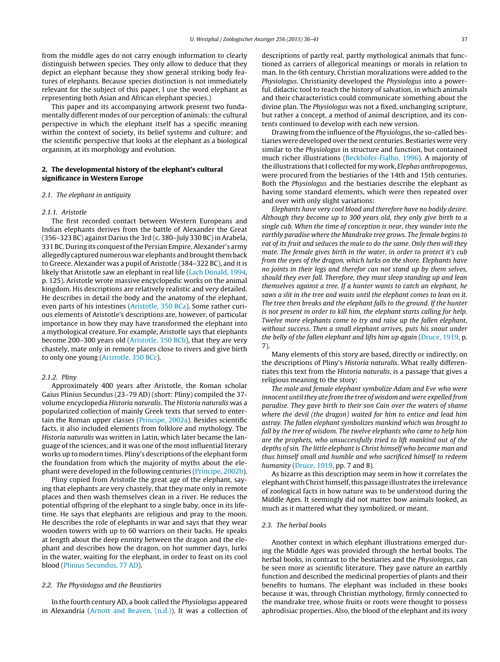from the middle ages do not carry enough information to clearly distinguish between species. They only allow to deduce that they depict an elephant because they show general striking body features of elephants. Because species distinction is not immediately relevant for the subject of this paper, I use the word elephant as representing both Asian and African elephant species.)

This paper and its accompanying artwork present two fundamentally different modes of our perception of animals: the cultural perspective in which the elephant itself has a specific meaning within the context of society, its belief systems and culture; and the scientific perspective that looks at the elephant as a biological organism, at its morphology and evolution.

# 2. The developmental history of the elephant's cultural significance in Western Europe

#### 2.1. The elephant in antiquity

# 2.1.1. Aristotle

The first recorded contact between Western Europeans and Indian elephants derives from the battle of Alexander the Great (356–323 BC) against Darius the 3rd (c. 380–July 330 BC) in Arabela, 331 BC. During its conquest of the Persian Empire, Alexander's army allegedly captured numerous war elephants and brought them back to Greece. Alexander was a pupil of Aristotle (384–322 BC), and it is likely that Aristotle saw an elephant in real life (Lach Donald, 1994, p. 125). Aristotle wrote massive encyclopedic works on the animal kingdom. His descriptions are relatively realistic and very detailed. He describes in detail the body and the anatomy of the elephant, even parts of his intestines (Aristotle, 350 BCa). Some rather curious elements of Aristotle's descriptions are, however, of particular importance in how they may have transformed the elephant into a mythological creature. For example, Aristotle says that elephants become 200–300 years old (Aristotle, 350 BCb), that they are very chastely, mate only in remote places close to rivers and give birth to only one young (Aristotle, 350 BCc).

#### 2.1.2. Pliny

Approximately 400 years after Aristotle, the Roman scholar Gaius Plinius Secundus (23–79 AD) (short: Pliny) compiled the 37 volume encyclopedia Historia naturalis. The Historia naturalis was a popularized collection of mainly Greek texts that served to entertain the Roman upper classes (Principe, 2002a). Besides scientific facts, it also included elements from folklore and mythology. The Historia naturalis was written in Latin, which later became the language of the sciences, and it was one of the most influential literary works up to modern times. Pliny's descriptions of the elephant form the foundation from which the majority of myths about the elephant were developed in the following centuries (Principe, 2002b).

Pliny copied from Aristotle the great age of the elephant, saying that elephants are very chastely, that they mate only in remote places and then wash themselves clean in a river. He reduces the potential offspring of the elephant to a single baby, once in its lifetime. He says that elephants are religious and pray to the moon. He describes the role of elephants in war and says that they wear wooden towers with up to 60 warriors on their backs. He speaks at length about the deep enmity between the dragon and the elephant and describes how the dragon, on hot summer days, lurks in the water, waiting for the elephant, in order to feast on its cool blood (Plinius Secundus, 77 AD).

## 2.2. The Physiologus and the Beastiaries

In the fourth century AD, a book called the Physiologus appeared in Alexandria (Arnott and Beaven, (n.d.)). It was a collection of descriptions of partly real, partly mythological animals that functioned as carriers of allegorical meanings or morals in relation to man. In the 6th century, Christian moralizations were added to the Physiologus. Christianity developed the Physiologus into a powerful, didactic tool to teach the history of salvation, in which animals and their characteristics could communicate something about the divine plan. The Physiologus was not a fixed, unchanging scripture, but rather a concept, a method of animal description, and its contents continued to develop with each new version.

Drawing from the influence of the Physiologus, the so-called bestiaries were developed over the next centuries. Bestiaries were very similar to the Physiologus in structure and function, but contained much richer illustrations (Beckhöfer-Fialho, 1996). A majority of the illustrations that I collected for my work, Elephas anthropogenus, were procured from the bestiaries of the 14th and 15th centuries. Both the Physiologus and the bestiaries describe the elephant as having some standard elements, which were then repeated over and over with only slight variations:

Elephants have very cool blood and therefore have no bodily desire. Although they become up to 300 years old, they only give birth to a single cub. When the time of conception is near, they wander into the earthly paradise where the Mandrake tree grows. The female begins to eat of its fruit and seduces the male to do the same. Only then will they mate. The female gives birth in the water, in order to protect it's cub from the eyes of the dragon, which lurks on the shore. Elephants have no joints in their legs and therefor can not stand up by them selves, should they ever fall. Therefore, they must sleep standing up and lean themselves against a tree. If a hunter wants to catch an elephant, he saws a slit in the tree and waits until the elephant comes to lean on it. The tree then breaks and the elephant falls to the ground. If the hunter is not present in order to kill him, the elephant starts calling for help. Twelve more elephants come to try and raise up the fallen elephant, without success. Then a small elephant arrives, puts his snout under the belly of the fallen elephant and lifts him up again (Druce, 1919, p. 7).

Many elements of this story are based, directly or indirectly, on the descriptions of Pliny's Historia naturalis. What really differentiates this text from the Historia naturalis, is a passage that gives a religious meaning to the story:

The male and female elephant symbolize Adam and Eve who were innocent until they ate from the tree of wisdom and were expelled from paradise. They gave birth to their son Cain over the waters of shame where the devil (the dragon) waited for him to entice and lead him astray. The fallen elephant symbolizes mankind which was brought to fall by the tree of wisdom. The twelve elephants who came to help him are the prophets, who unsuccessfully tried to lift mankind out of the depths of sin. The little elephant is Christ himself who became man and thus himself small and humble and who sacrificed himself to redeem humanity (Druce, 1919, pp. 7 and 8).

As bizarre as this description may seem in how it correlates the elephant with Christ himself, this passage illustrates the irrelevance of zoological facts in how nature was to be understood during the Middle Ages. It seemingly did not matter how animals looked, as much as it mattered what they symbolized, or meant.

#### 2.3. The herbal books

Another context in which elephant illustrations emerged during the Middle Ages was provided through the herbal books. The herbal books, in contrast to the bestiaries and the Physiologus, can be seen more as scientific literature. They gave nature an earthly function and described the medicinal properties of plants and their benefits to humans. The elephant was included in these books because it was, through Christian mythology, firmly connected to the mandrake tree, whose fruits or roots were thought to possess aphrodisiac properties. Also, the blood of the elephant and its ivory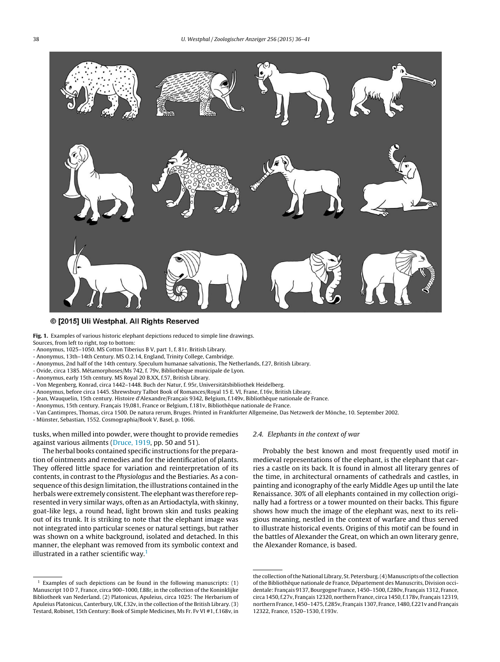

@ [2015] Uli Westphal. All Rights Reserved

Fig. 1. Examples of various historic elephant depictions reduced to simple line drawings. Sources, from left to right, top to bottom:

- Anonymus, 1025–1050. MS Cotton Tiberius B V, part 1, f. 81r. British Library.
- Anonymus, 13th–14th Century. MS O.2.14, England, Trinity College, Cambridge.
- Anonymus, 2nd half of the 14th century. Speculum humanae salvationis, The Netherlands, f.27, British Library.
- Ovide, circa 1385. Métamorphoses/Ms 742, f. 79v, Bibliothèque municipale de Lyon.
- Anonymus, early 15th century. MS Royal 20 B.XX, f.57, British Library.
- Von Megenberg, Konrad, circa 1442–1448. Buch der Natur, f. 95r, Universitätsbibliothek Heidelberg.
- Anonymus, before circa 1445. Shrewsbury Talbot Book of Romances/Royal 15 E. VI, Frane, f.16v, British Library.
- Jean, Wauquelin, 15th century. Histoire d'Alexandre/Français 9342, Belgium, f.149v, Bibliothèque nationale de France.
- Anonymus, 15th century. Français 19,081, France or Belgium, f.181v, Bibliothèque nationale de France.
- Van Cantimpres, Thomas, circa 1500. De natura rerum, Bruges. Printed in Frankfurter Allgemeine, Das Netzwerk der Mönche, 10. September 2002.

- Münster, Sebastian, 1552. Cosmographia/Book V, Basel, p. 1066.

tusks, when milled into powder, were thought to provide remedies against various ailments (Druce, 1919, pp. 50 and 51).

The herbal books contained specific instructions for the preparation of ointments and remedies and for the identification of plants. They offered little space for variation and reinterpretation of its contents, in contrast to the Physiologus and the Bestiaries. As a consequence of this design limitation, the illustrations contained in the herbals were extremely consistent. The elephant was therefore represented in very similar ways, often as an Artiodactyla, with skinny, goat-like legs, a round head, light brown skin and tusks peaking out of its trunk. It is striking to note that the elephant image was not integrated into particular scenes or natural settings, but rather was shown on a white background, isolated and detached. In this manner, the elephant was removed from its symbolic context and illustrated in a rather scientific way.<sup>1</sup>

#### 2.4. Elephants in the context of war

Probably the best known and most frequently used motif in medieval representations of the elephant, is the elephant that carries a castle on its back. It is found in almost all literary genres of the time, in architectural ornaments of cathedrals and castles, in painting and iconography of the early Middle Ages up until the late Renaissance. 30% of all elephants contained in my collection originally had a fortress or a tower mounted on their backs. This figure shows how much the image of the elephant was, next to its religious meaning, nestled in the context of warfare and thus served to illustrate historical events. Origins of this motif can be found in the battles of Alexander the Great, on which an own literary genre, the Alexander Romance, is based.

 $1$  Examples of such depictions can be found in the following manuscripts: (1) Manuscript 10 D 7, France, circa 900–1000, f.88r, in the collection of the Koninklijke Bibliotheek van Nederland. (2) Platonicus, Apuleius, circa 1025: The Herbarium of Apuleius Platonicus, Canterbury, UK, f.32v, in the collection of the British Library. (3) Testard, Robinet, 15th Century: Book of Simple Medicines, Ms Fr. Fv VI #1, f.168v, in

the collection of the National Library, St. Petersburg. (4) Manuscripts of the collection of the Bibliothèque nationale de France, Département des Manuscrits, Division occidentale: Français 9137, Bourgogne France, 1450-1500, f.280v, Français 1312, France, circa 1450, f.27v, Français 12320, northern France, circa 1450, f.178v, Français 12319, northern France, 1450-1475, f.285v, Français 1307, France, 1480, f.221v and Français 12322, France, 1520–1530, f.193v.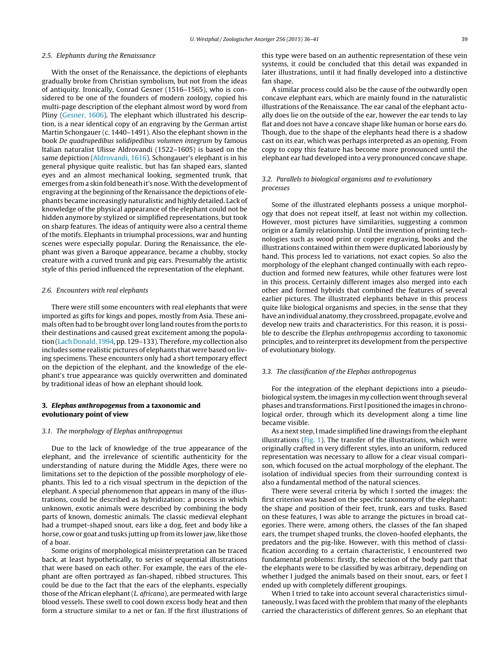#### 2.5. Elephants during the Renaissance

With the onset of the Renaissance, the depictions of elephants gradually broke from Christian symbolism, but not from the ideas of antiquity. Ironically, Conrad Gesner (1516–1565), who is considered to be one of the founders of modern zoology, copied his multi-page description of the elephant almost word by word from Pliny (Gesner, 1606). The elephant which illustrated his description, is a near identical copy of an engraving by the German artist Martin Schongauer (c. 1440–1491). Also the elephant shown in the book De quadrupedibus solidipedibus volumen integrum by famous Italian naturalist Ulisse Aldrovandi (1522–1605) is based on the same depiction (Aldrovandi, 1616). Schongauer's elephant is in his general physique quite realistic, but has fan shaped ears, slanted eyes and an almost mechanical looking, segmented trunk, that emerges from a skin fold beneath it's nose. With the development of engraving at the beginning of the Renaissance the depictions of elephants became increasingly naturalistic and highly detailed. Lack of knowledge of the physical appearance of the elephant could not be hidden anymore by stylized or simplified representations, but took on sharp features. The ideas of antiquity were also a central theme of the motifs. Elephants in triumphal processions, war and hunting scenes were especially popular. During the Renaissance, the elephant was given a Baroque appearance, became a chubby, stocky creature with a curved trunk and pig ears. Presumably the artistic style of this period influenced the representation of the elephant.

#### 2.6. Encounters with real elephants

There were still some encounters with real elephants that were imported as gifts for kings and popes, mostly from Asia. These animals often had to be brought over long land routes from the ports to their destinations and caused great excitement among the population (Lach Donald, 1994, pp. 129–133). Therefore, my collection also includes some realistic pictures of elephants that were based on living specimens. These encounters only had a short temporary effect on the depiction of the elephant, and the knowledge of the elephant's true appearance was quickly overwritten and dominated by traditional ideas of how an elephant should look.

### 3. Elephas anthropogenus from a taxonomic and evolutionary point of view

# 3.1. The morphology of Elephas anthropogenus

Due to the lack of knowledge of the true appearance of the elephant, and the irrelevance of scientific authenticity for the understanding of nature during the Middle Ages, there were no limitations set to the depiction of the possible morphology of elephants. This led to a rich visual spectrum in the depiction of the elephant. A special phenomenon that appears in many of the illustrations, could be described as hybridization: a process in which unknown, exotic animals were described by combining the body parts of known, domestic animals. The classic medieval elephant had a trumpet-shaped snout, ears like a dog, feet and body like a horse, cow or goat and tusks jutting up from its lower jaw, like those of a boar.

Some origins of morphological misinterpretation can be traced back, at least hypothetically, to series of sequential illustrations that were based on each other. For example, the ears of the elephant are often portrayed as fan-shaped, ribbed structures. This could be due to the fact that the ears of the elephants, especially those of the African elephant  $(L. africana)$ , are permeated with large blood vessels. These swell to cool down excess body heat and then form a structure similar to a net or fan. If the first illustrations of this type were based on an authentic representation of these vein systems, it could be concluded that this detail was expanded in later illustrations, until it had finally developed into a distinctive fan shape.

A similar process could also be the cause of the outwardly open concave elephant ears, which are mainly found in the naturalistic illustrations of the Renaissance. The ear canal of the elephant actually does lie on the outside of the ear, however the ear tends to lay flat and does not have a concave shape like human or horse ears do. Though, due to the shape of the elephants head there is a shadow cast on its ear, which was perhaps interpreted as an opening. From copy to copy this feature has become more pronounced until the elephant ear had developed into a very pronounced concave shape.

# 3.2. Parallels to biological organisms and to evolutionary processes

Some of the illustrated elephants possess a unique morphology that does not repeat itself, at least not within my collection. However, most pictures have similarities, suggesting a common origin or a family relationship. Until the invention of printing technologies such as wood print or copper engraving, books and the illustrations contained within them were duplicated laboriously by hand. This process led to variations, not exact copies. So also the morphology of the elephant changed continually with each reproduction and formed new features, while other features were lost in this process. Certainly different images also merged into each other and formed hybrids that combined the features of several earlier pictures. The illustrated elephants behave in this process quite like biological organisms and species, in the sense that they have an individual anatomy, they crossbreed, propagate, evolve and develop new traits and characteristics. For this reason, it is possible to describe the Elephas anthropogenus according to taxonomic principles, and to reinterpret its development from the perspective of evolutionary biology.

#### 3.3. The classification of the Elephas anthropogenus

For the integration of the elephant depictions into a pseudobiological system, the images in my collection went through several phases and transformations. First I positioned the images in chronological order, through which its development along a time line became visible.

As a next step, I made simplified line drawings from the elephant illustrations (Fig. 1). The transfer of the illustrations, which were originally crafted in very different styles, into an uniform, reduced representation was necessary to allow for a clear visual comparison, which focused on the actual morphology of the elephant. The isolation of individual species from their surrounding context is also a fundamental method of the natural sciences.

There were several criteria by which I sorted the images: the first criterion was based on the specific taxonomy of the elephant: the shape and position of their feet, trunk, ears and tusks. Based on these features, I was able to arrange the pictures in broad categories. There were, among others, the classes of the fan shaped ears, the trumpet shaped trunks, the cloven-hoofed elephants, the predators and the pig-like. However, with this method of classification according to a certain characteristic, I encountered two fundamental problems: firstly, the selection of the body part that the elephants were to be classified by was arbitrary, depending on whether I judged the animals based on their snout, ears, or feet I ended up with completely different groupings.

When I tried to take into account several characteristics simultaneously, I was faced with the problem that many of the elephants carried the characteristics of different genres. So an elephant that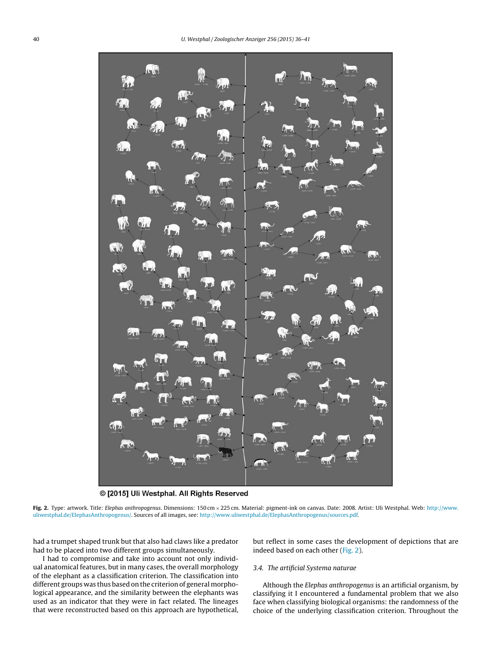

@ [2015] Uli Westphal. All Rights Reserved

Fig. 2. Type: artwork. Title: Elephas anthropogenus. Dimensions: 150 cm × 225 cm. Material: pigment-ink on canvas. Date: 2008. Artist: Uli Westphal. Web: http://www. uliwestphal.de/ElephasAnthropogenus/. Sources of all images, see: http://www.uliwestphal.de/ElephasAnthropogenus/sources.pdf.

had a trumpet shaped trunk but that also had claws like a predator had to be placed into two different groups simultaneously.

I had to compromise and take into account not only individual anatomical features, but in many cases, the overall morphology of the elephant as a classification criterion. The classification into different groups was thus based on the criterion of general morphological appearance, and the similarity between the elephants was used as an indicator that they were in fact related. The lineages that were reconstructed based on this approach are hypothetical, but reflect in some cases the development of depictions that are indeed based on each other (Fig. 2).

## 3.4. The artificial Systema naturae

Although the Elephas anthropogenus is an artificial organism, by classifying it I encountered a fundamental problem that we also face when classifying biological organisms: the randomness of the choice of the underlying classification criterion. Throughout the